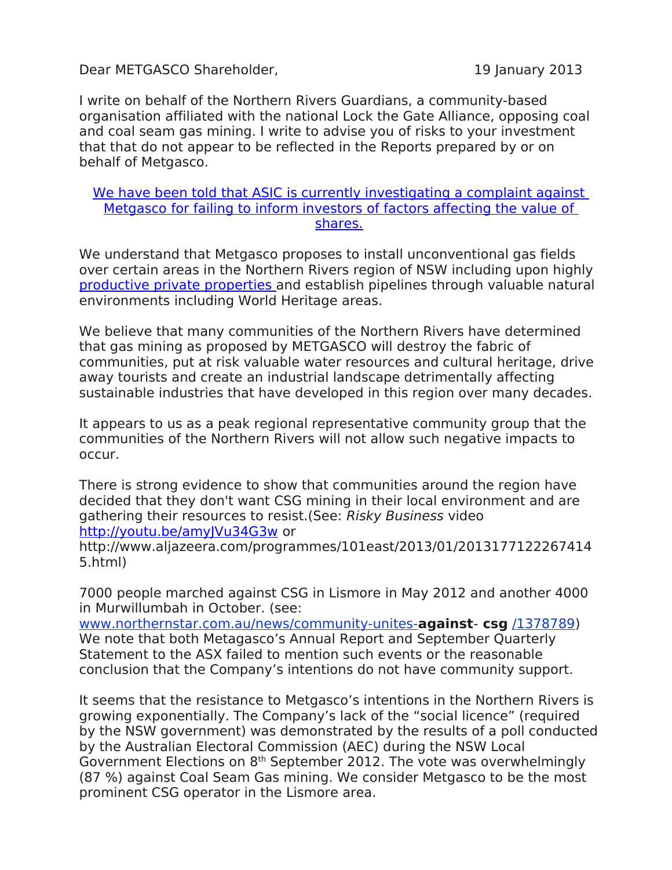Dear METGASCO Shareholder, 19 January 2013

I write on behalf of the Northern Rivers Guardians, a community-based organisation affiliated with the national Lock the Gate Alliance, opposing coal and coal seam gas mining. I write to advise you of risks to your investment that that do not appear to be reflected in the Reports prepared by or on behalf of Metgasco.

## [We have been told that ASIC is currently investigating a complaint against](file:///root/Downloads/NULL)  [Metgasco for failing to inform investors of factors affecting the value of](file:///root/Downloads/NULL) [shares.](file:///root/Downloads/NULL)

We understand that Metgasco proposes to install unconventional gas fields over certain areas in the Northern Rivers region of NSW including upon highly [productive private properties a](file:///root/Downloads/NULL)nd establish pipelines through valuable natural environments including World Heritage areas.

We believe that many communities of the Northern Rivers have determined that gas mining as proposed by METGASCO will destroy the fabric of communities, put at risk valuable water resources and cultural heritage, drive away tourists and create an industrial landscape detrimentally affecting sustainable industries that have developed in this region over many decades.

It appears to us as a peak regional representative community group that the communities of the Northern Rivers will not allow such negative impacts to occur.

There is strong evidence to show that communities around the region have decided that they don't want CSG mining in their local environment and are gathering their resources to resist.(See: Risky Business video <http://youtu.be/amyJVu34G3w>or

http://www.aljazeera.com/programmes/101east/2013/01/2013177122267414 5.html)

7000 people marched against CSG in Lismore in May 2012 and another 4000 in Murwillumbah in October. (see:

[www.northernstar.com.au/news/community-unites-](http://www.northernstar.com.au/news/community-unites-against-csg/1378789)**against**- **csg** [/1378789\)](http://www.northernstar.com.au/news/community-unites-against-csg/1378789) We note that both Metagasco's Annual Report and September Quarterly Statement to the ASX failed to mention such events or the reasonable conclusion that the Company's intentions do not have community support.

It seems that the resistance to Metgasco's intentions in the Northern Rivers is growing exponentially. The Company's lack of the "social licence" (required by the NSW government) was demonstrated by the results of a poll conducted by the Australian Electoral Commission (AEC) during the NSW Local Government Elections on 8th September 2012. The vote was overwhelmingly (87 %) against Coal Seam Gas mining. We consider Metgasco to be the most prominent CSG operator in the Lismore area.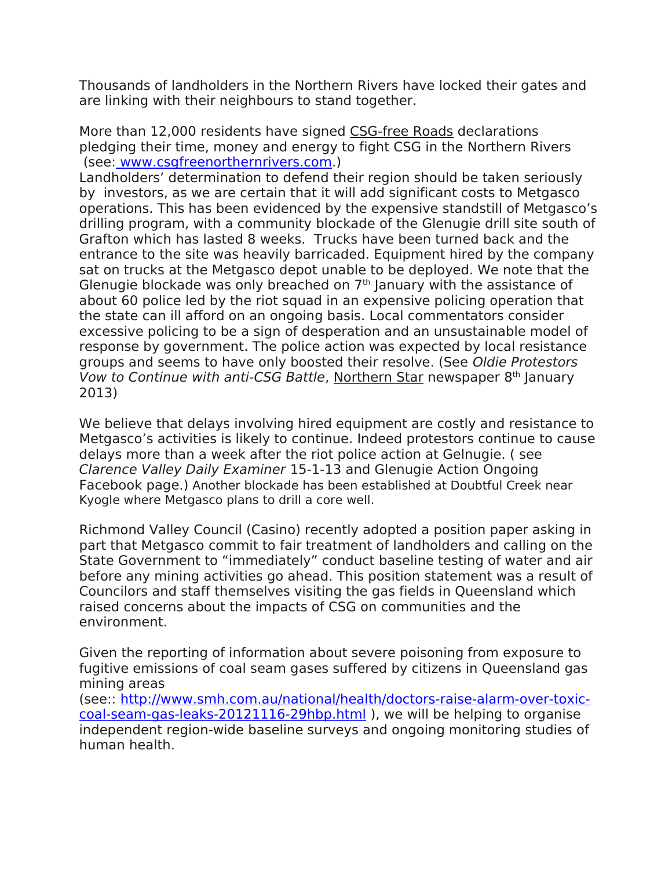Thousands of landholders in the Northern Rivers have locked their gates and are linking with their neighbours to stand together.

More than 12,000 residents have signed CSG-free Roads declarations pledging their time, money and energy to fight CSG in the Northern Rivers (see: www.csgfreenorthernrivers.com.)

Landholders' determination to defend their region should be taken seriously by investors, as we are certain that it will add significant costs to Metgasco operations. This has been evidenced by the expensive standstill of Metgasco's drilling program, with a community blockade of the Glenugie drill site south of Grafton which has lasted 8 weeks. Trucks have been turned back and the entrance to the site was heavily barricaded. Equipment hired by the company sat on trucks at the Metgasco depot unable to be deployed. We note that the Glenugie blockade was only breached on  $7<sup>th</sup>$  January with the assistance of about 60 police led by the riot squad in an expensive policing operation that the state can ill afford on an ongoing basis. Local commentators consider excessive policing to be a sign of desperation and an unsustainable model of response by government. The police action was expected by local resistance groups and seems to have only boosted their resolve. (See Oldie Protestors Vow to Continue with anti-CSG Battle, Northern Star newspaper  $8<sup>th</sup>$  January 2013)

We believe that delays involving hired equipment are costly and resistance to Metgasco's activities is likely to continue. Indeed protestors continue to cause delays more than a week after the riot police action at Gelnugie. ( see Clarence Valley Daily Examiner 15-1-13 and Glenugie Action Ongoing Facebook page.) Another blockade has been established at Doubtful Creek near Kyogle where Metgasco plans to drill a core well.

Richmond Valley Council (Casino) recently adopted a position paper asking in part that Metgasco commit to fair treatment of landholders and calling on the State Government to "immediately" conduct baseline testing of water and air before any mining activities go ahead. This position statement was a result of Councilors and staff themselves visiting the gas fields in Queensland which raised concerns about the impacts of CSG on communities and the environment.

Given the reporting of information about severe poisoning from exposure to fugitive emissions of coal seam gases suffered by citizens in Queensland gas mining areas

(see:: [http://www.smh.com.au/national/health/doctors-raise-alarm-over-toxic](http://www.smh.com.au/national/health/doctors-raise-alarm-over-toxic-coal-seam-gas-leaks-20121116-29hbp.html)[coal-seam-gas-leaks-20121116-29hbp.html](http://www.smh.com.au/national/health/doctors-raise-alarm-over-toxic-coal-seam-gas-leaks-20121116-29hbp.html) ), we will be helping to organise independent region-wide baseline surveys and ongoing monitoring studies of human health.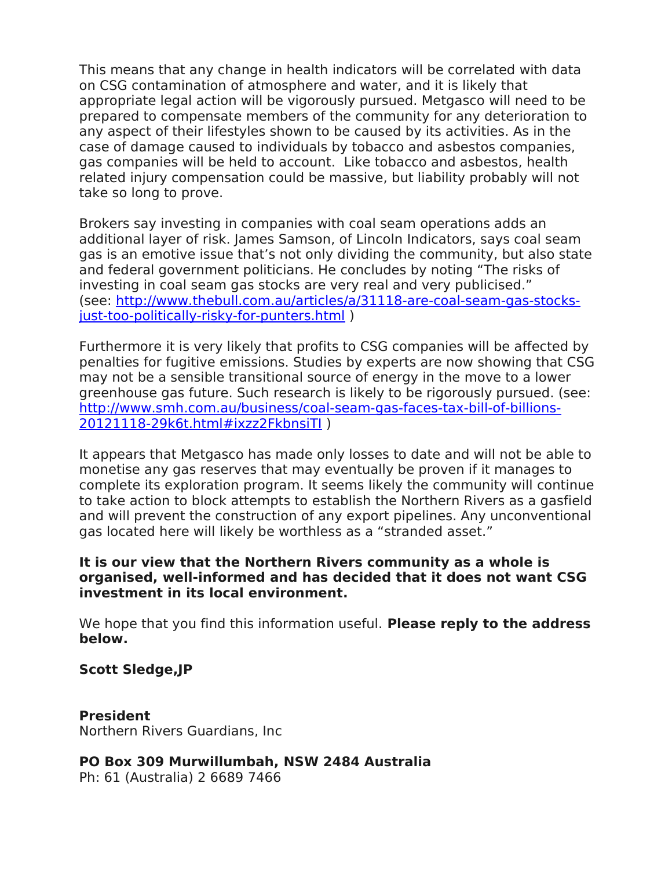This means that any change in health indicators will be correlated with data on CSG contamination of atmosphere and water, and it is likely that appropriate legal action will be vigorously pursued. Metgasco will need to be prepared to compensate members of the community for any deterioration to any aspect of their lifestyles shown to be caused by its activities. As in the case of damage caused to individuals by tobacco and asbestos companies, gas companies will be held to account. Like tobacco and asbestos, health related injury compensation could be massive, but liability probably will not take so long to prove.

Brokers say investing in companies with coal seam operations adds an additional layer of risk. James Samson, of Lincoln Indicators, says coal seam gas is an emotive issue that's not only dividing the community, but also state and federal government politicians. He concludes by noting "The risks of investing in coal seam gas stocks are very real and very publicised." (see: [http://www.thebull.com.au/articles/a/31118-are-coal-seam-gas-stocks](http://www.thebull.com.au/articles/a/31118-are-coal-seam-gas-stocks-just-too-politically-risky-for-punters.html)[just-too-politically-risky-for-punters.html](http://www.thebull.com.au/articles/a/31118-are-coal-seam-gas-stocks-just-too-politically-risky-for-punters.html) )

Furthermore it is very likely that profits to CSG companies will be affected by penalties for fugitive emissions. Studies by experts are now showing that CSG may not be a sensible transitional source of energy in the move to a lower greenhouse gas future. Such research is likely to be rigorously pursued. (see: [http://www.smh.com.au/business/coal-seam-gas-faces-tax-bill-of-billions-](http://www.smh.com.au/business/coal-seam-gas-faces-tax-bill-of-billions-20121118-29k6t.html#ixzz2FkbnsiTI)[20121118-29k6t.html#ixzz2FkbnsiTI](http://www.smh.com.au/business/coal-seam-gas-faces-tax-bill-of-billions-20121118-29k6t.html#ixzz2FkbnsiTI) )

It appears that Metgasco has made only losses to date and will not be able to monetise any gas reserves that may eventually be proven if it manages to complete its exploration program. It seems likely the community will continue to take action to block attempts to establish the Northern Rivers as a gasfield and will prevent the construction of any export pipelines. Any unconventional gas located here will likely be worthless as a "stranded asset."

## **It is our view that the Northern Rivers community as a whole is organised, well-informed and has decided that it does not want CSG investment in its local environment.**

We hope that you find this information useful. **Please reply to the address below.**

## **Scott Sledge,JP**

**President** Northern Rivers Guardians, Inc

**PO Box 309 Murwillumbah, NSW 2484 Australia** Ph: 61 (Australia) 2 6689 7466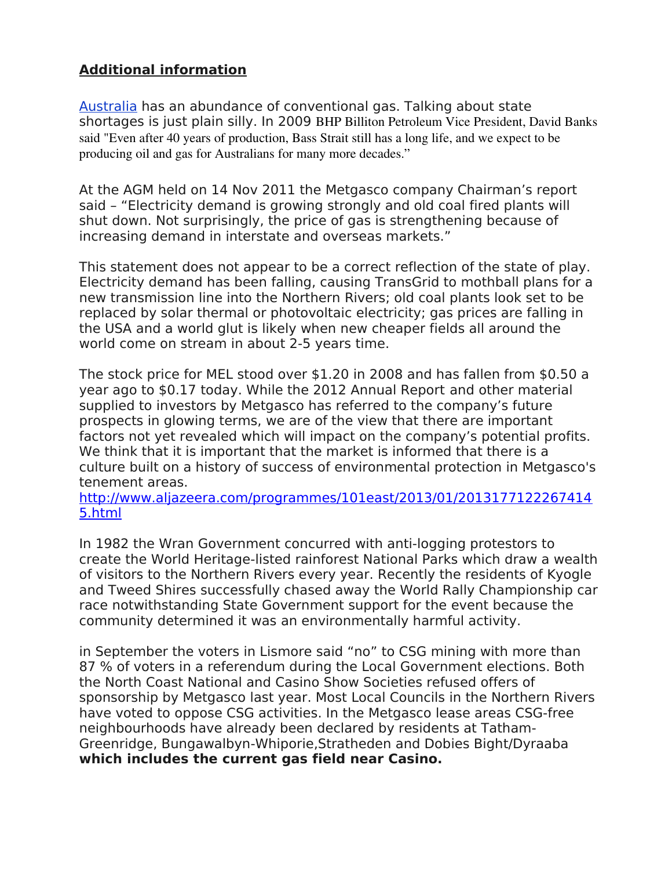## **Additional information**

[Australia](file:///root/Downloads/NULL) has an abundance of conventional gas. Talking about state shortages is just plain silly. In 2009 BHP Billiton Petroleum Vice President, David Banks said "Even after 40 years of production, Bass Strait still has a long life, and we expect to be producing oil and gas for Australians for many more decades."

At the AGM held on 14 Nov 2011 the Metgasco company Chairman's report said – "Electricity demand is growing strongly and old coal fired plants will shut down. Not surprisingly, the price of gas is strengthening because of increasing demand in interstate and overseas markets."

This statement does not appear to be a correct reflection of the state of play. Electricity demand has been falling, causing TransGrid to mothball plans for a new transmission line into the Northern Rivers; old coal plants look set to be replaced by solar thermal or photovoltaic electricity; gas prices are falling in the USA and a world glut is likely when new cheaper fields all around the world come on stream in about 2-5 years time.

The stock price for MEL stood over \$1.20 in 2008 and has fallen from \$0.50 a year ago to \$0.17 today. While the 2012 Annual Report and other material supplied to investors by Metgasco has referred to the company's future prospects in glowing terms, we are of the view that there are important factors not yet revealed which will impact on the company's potential profits. We think that it is important that the market is informed that there is a culture built on a history of success of environmental protection in Metgasco's tenement areas.

[http://www.aljazeera.com/programmes/101east/2013/01/2013177122267414](http://www.aljazeera.com/programmes/101east/2013/01/20131771222674145.html) [5.html](http://www.aljazeera.com/programmes/101east/2013/01/20131771222674145.html)

In 1982 the Wran Government concurred with anti-logging protestors to create the World Heritage-listed rainforest National Parks which draw a wealth of visitors to the Northern Rivers every year. Recently the residents of Kyogle and Tweed Shires successfully chased away the World Rally Championship car race notwithstanding State Government support for the event because the community determined it was an environmentally harmful activity.

in September the voters in Lismore said "no" to CSG mining with more than 87 % of voters in a referendum during the Local Government elections. Both the North Coast National and Casino Show Societies refused offers of sponsorship by Metgasco last year. Most Local Councils in the Northern Rivers have voted to oppose CSG activities. In the Metgasco lease areas CSG-free neighbourhoods have already been declared by residents at Tatham-Greenridge, Bungawalbyn-Whiporie,Stratheden and Dobies Bight/Dyraaba **which includes the current gas field near Casino.**